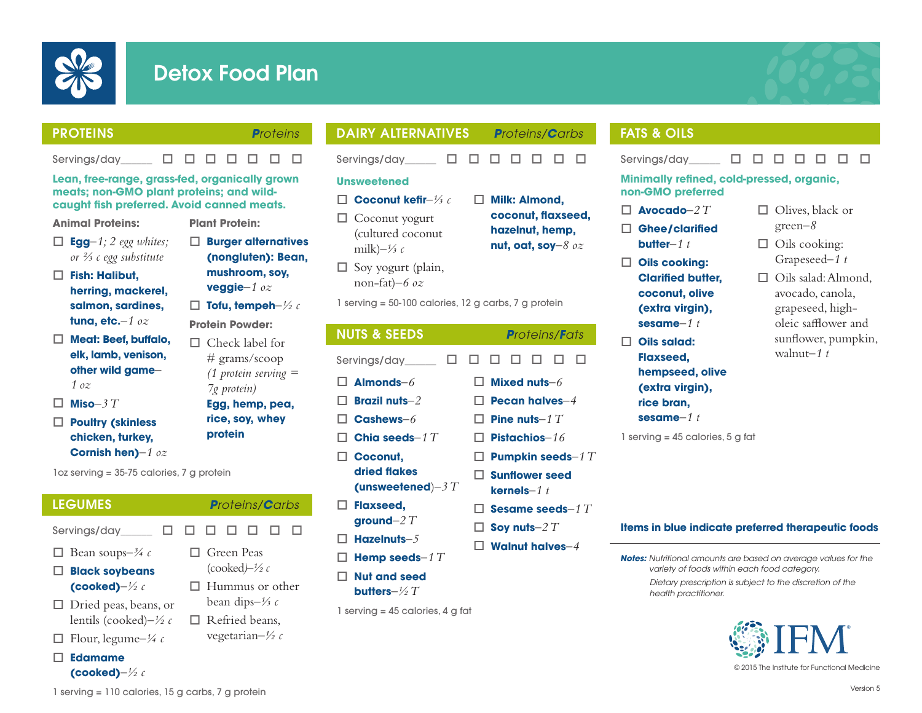

# Detox Food Plan



 $\Box$  Olives, black or green*–8*  $\Box$  Oils cooking: Grapeseed*–1 t*  $\Box$  Oils salad: Almond, avocado, canola, grapeseed, higholeic safflower and sunflower, pumpkin,

walnut*–1 t*

## PROTEINS *Proteins*

Servings/day  $\Box$   $\Box$   $\Box$   $\Box$   $\Box$   $\Box$   $\Box$ 

o **Burger alternatives (nongluten): Bean, mushroom, soy, veggie***–1 oz*  $\Box$  Tofu, tempeh- $\frac{1}{2}c$ **Protein Powder:**  $\Box$  Check label for # grams/scoop *(1 protein serving =* 

**Plant Protein:**

*7g protein)* **Egg, hemp, pea, rice, soy, whey** 

**protein**

**Lean, free-range, grass-fed, organically grown meats; non-GMO plant proteins; and wildcaught fish preferred. Avoid canned meats.**

#### **Animal Proteins:**

- $\Box$  **Egg** $-1$ ; 2 egg whites; *or ⅔ c egg substitute*
- o **Fish: Halibut, herring, mackerel, salmon, sardines, tuna, etc.***–1 oz*
- □ Meat: Beef, buffalo, **elk, lamb, venison, other wild game***– 1 oz*
- $\Pi$  Miso–3  $T$
- □ **Poultry (skinless chicken, turkey, Cornish hen)***–1 oz*

**(cooked)***–½ c*

1oz serving = 35-75 calories, 7 g protein

LEGUMES *Proteins/Carbs* Servings/day  $\Box$   $\Box$   $\Box$   $\Box$   $\Box$   $\Box$   $\Box$ □ Bean soups– $\frac{3}{4}$  c o **Black soybeans (cooked)***–½ c*  $\Box$  Dried peas, beans, or lentils (cooked)*–½ c*  $\Box$  Flour, legume– $\frac{1}{4}c$ o **Edamame**  $\Box$  Green Peas (cooked*)–½ c*  $\Box$  Hummus or other bean dips*–⅓ c*  $\Box$  Refried beans. vegetarian*–½ c*

DAIRY ALTERNATIVES *Proteins/Carbs*

# Servinas/day  $\Box$   $\Box$   $\Box$   $\Box$   $\Box$   $\Box$   $\Box$

- **Unsweetened**
- o **Coconut kefir***–⅓ c*
- $\Box$  Coconut yogurt (cultured coconut milk)*–⅓ c*
- $\Box$  Soy yogurt (plain, non-fat)*–6 oz*
- 1 serving = 50-100 calories, 12 g carbs, 7 g protein

| <b>NUTS &amp; SEEDS</b>  | <b>Proteins/Fats</b>           |  |  |  |  |  |
|--------------------------|--------------------------------|--|--|--|--|--|
| Servings/day<br>П        | I I<br>LΙ<br>$\mathbf{1}$<br>H |  |  |  |  |  |
| $\sqcap$ Almonds- $6$    | Mixed nuts- $6$                |  |  |  |  |  |
| <b>Brazil nuts</b> $-2$  | $\Box$ Pecan halves $-4$       |  |  |  |  |  |
| $\sqcap$ Cashews- $6$    | <b>Pine nuts</b> -1 $T$        |  |  |  |  |  |
| <b>Chia seeds</b> -1 $T$ | <b>Pistachios</b> $-16$        |  |  |  |  |  |
| $\Box$ Coconut,          | $\square$ Pumpkin seeds-1 T    |  |  |  |  |  |
| dried flakes             | $\Box$ Sunflower seed          |  |  |  |  |  |
| (unsweetened) $-3T$      | kernels $-1$ t                 |  |  |  |  |  |
| $\Box$ Flaxseed,         | $\Box$ Sesame seeds–1 $T$      |  |  |  |  |  |
| ground- $2T$             | $\square$ Soy nuts- $2\,T$     |  |  |  |  |  |
| Hazelnuts $-5$           | <b>Walnut halves</b> -4        |  |  |  |  |  |
| Hemp seeds-1 $T$         |                                |  |  |  |  |  |

- □ Nut and seed
	- **butters***–½ T*
- 1 serving  $= 45$  calories, 4 g fat

# FATS & OILS

Servings/day  $\Box$   $\Box$   $\Box$   $\Box$   $\Box$   $\Box$   $\Box$ 

#### **Minimally refined, cold-pressed, organic, non-GMO preferred**

- $\Box$  **Avocado**–2  $T$
- □ Ghee/clarified **butter***–1 t*
- **Oils cooking:** 
	- **Clarified butter, coconut, olive (extra virgin), sesame***–1 t*
- □ Oils salad: **Flaxseed, hempseed, olive (extra virgin), rice bran,** 
	- **sesame***–1 t*
- 1 serving = 45 calories, 5 g fat

#### **Items in blue indicate preferred therapeutic foods**

*Notes: Nutritional amounts are based on average values for the variety of foods within each food category.*

> *Dietary prescription is subject to the discretion of the health practitioner.*



© 2015 The Institute for Functional Medicine

1 serving = 110 calories, 15 g carbs, 7 g protein

- □ Milk: Almond. **coconut, flaxseed, hazelnut, hemp, nut, oat, soy***–8 oz*
	-
	-
	-